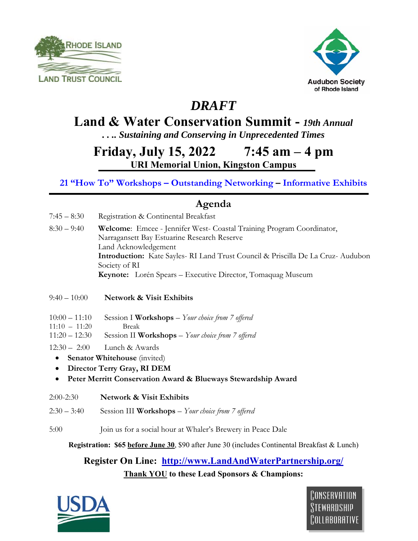



## *DRAFT*

### **Land & Water Conservation Summit -** *19th Annual*

*. . .. Sustaining and Conserving in Unprecedented Times* 

**Friday, July 15, 2022 7:45 am – 4 pm URI Memorial Union, Kingston Campus** 

**21 "How To" Workshops – Outstanding Networking – Informative Exhibits** 

#### **Agenda**

- 7:45 8:30 Registration & Continental Breakfast
- 8:30 9:40 **Welcome**: Emcee Jennifer West- Coastal Training Program Coordinator, Narragansett Bay Estuarine Research Reserve Land Acknowledgement **Introduction:** Kate Sayles- RI Land Trust Council & Priscilla De La Cruz- Audubon Society of RI  **Keynote:** Lorén Spears – Executive Director, Tomaquag Museum

9:40 – 10:00 **Network & Visit Exhibits** 

- 10:00 11:10 Session I **Workshops** *Your choice from 7 offered*
- 11:10 11:20 Break
- 11:20 12:30 Session II **Workshops** *Your choice from 7 offered*
- 12:30 2:00 Lunch & Awards
	- **•** Senator Whitehouse *(invited)*
	- **Director Terry Gray, RI DEM**
	- **Peter Merritt Conservation Award & Blueways Stewardship Award**
- 2:00-2:30 **Network & Visit Exhibits**

2:30 – 3:40Session III **Workshops** – *Your choice from 7 offered* 

5:00 Join us for a social hour at Whaler's Brewery in Peace Dale

**Registration: \$65 before June 30**, \$90 after June 30 (includes Continental Breakfast & Lunch)

#### **Register On Line: http://www.LandAndWaterPartnership.org/ Thank YOU to these Lead Sponsors & Champions:**